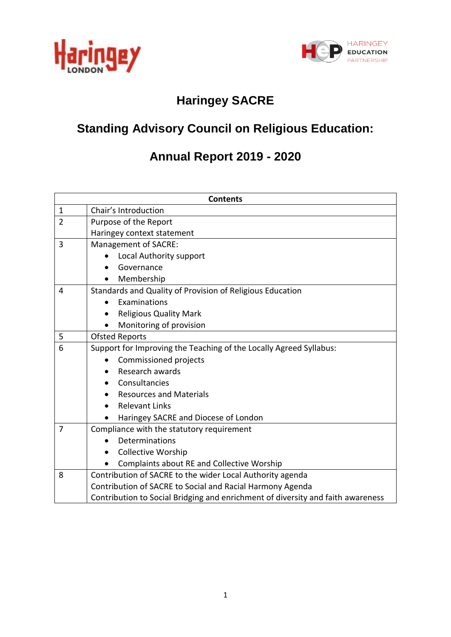



# **Haringey SACRE**

# **Standing Advisory Council on Religious Education:**

# **Annual Report 2019 - 2020**

| <b>Contents</b> |                                                                                 |  |  |  |  |  |  |
|-----------------|---------------------------------------------------------------------------------|--|--|--|--|--|--|
| $\mathbf 1$     | Chair's Introduction                                                            |  |  |  |  |  |  |
| $\overline{2}$  | Purpose of the Report                                                           |  |  |  |  |  |  |
|                 | Haringey context statement                                                      |  |  |  |  |  |  |
| 3               | Management of SACRE:                                                            |  |  |  |  |  |  |
|                 | Local Authority support                                                         |  |  |  |  |  |  |
|                 | Governance                                                                      |  |  |  |  |  |  |
|                 | Membership<br>$\bullet$                                                         |  |  |  |  |  |  |
| 4               | Standards and Quality of Provision of Religious Education                       |  |  |  |  |  |  |
|                 | Examinations                                                                    |  |  |  |  |  |  |
|                 | <b>Religious Quality Mark</b>                                                   |  |  |  |  |  |  |
|                 | Monitoring of provision                                                         |  |  |  |  |  |  |
| 5               | <b>Ofsted Reports</b>                                                           |  |  |  |  |  |  |
| 6               | Support for Improving the Teaching of the Locally Agreed Syllabus:              |  |  |  |  |  |  |
|                 | <b>Commissioned projects</b>                                                    |  |  |  |  |  |  |
|                 | Research awards                                                                 |  |  |  |  |  |  |
|                 | Consultancies                                                                   |  |  |  |  |  |  |
|                 | <b>Resources and Materials</b>                                                  |  |  |  |  |  |  |
|                 | <b>Relevant Links</b>                                                           |  |  |  |  |  |  |
|                 | Haringey SACRE and Diocese of London                                            |  |  |  |  |  |  |
| 7               | Compliance with the statutory requirement                                       |  |  |  |  |  |  |
|                 | Determinations                                                                  |  |  |  |  |  |  |
|                 | <b>Collective Worship</b><br>$\bullet$                                          |  |  |  |  |  |  |
|                 | <b>Complaints about RE and Collective Worship</b>                               |  |  |  |  |  |  |
| 8               | Contribution of SACRE to the wider Local Authority agenda                       |  |  |  |  |  |  |
|                 | Contribution of SACRE to Social and Racial Harmony Agenda                       |  |  |  |  |  |  |
|                 | Contribution to Social Bridging and enrichment of diversity and faith awareness |  |  |  |  |  |  |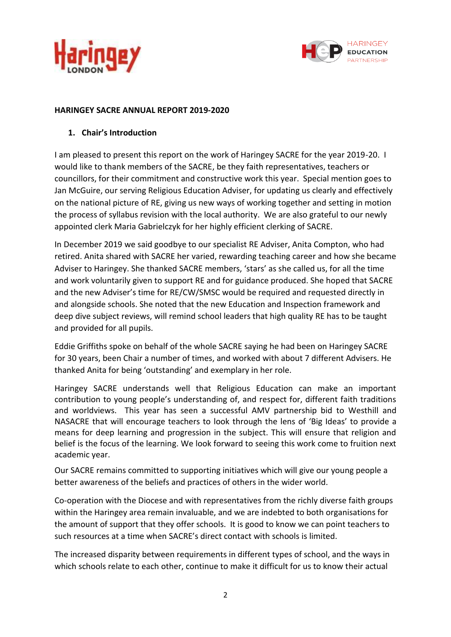



#### **HARINGEY SACRE ANNUAL REPORT 2019-2020**

#### **1. Chair's Introduction**

I am pleased to present this report on the work of Haringey SACRE for the year 2019-20. I would like to thank members of the SACRE, be they faith representatives, teachers or councillors, for their commitment and constructive work this year. Special mention goes to Jan McGuire, our serving Religious Education Adviser, for updating us clearly and effectively on the national picture of RE, giving us new ways of working together and setting in motion the process of syllabus revision with the local authority. We are also grateful to our newly appointed clerk Maria Gabrielczyk for her highly efficient clerking of SACRE.

In December 2019 we said goodbye to our specialist RE Adviser, Anita Compton, who had retired. Anita shared with SACRE her varied, rewarding teaching career and how she became Adviser to Haringey. She thanked SACRE members, 'stars' as she called us, for all the time and work voluntarily given to support RE and for guidance produced. She hoped that SACRE and the new Adviser's time for RE/CW/SMSC would be required and requested directly in and alongside schools. She noted that the new Education and Inspection framework and deep dive subject reviews, will remind school leaders that high quality RE has to be taught and provided for all pupils.

Eddie Griffiths spoke on behalf of the whole SACRE saying he had been on Haringey SACRE for 30 years, been Chair a number of times, and worked with about 7 different Advisers. He thanked Anita for being 'outstanding' and exemplary in her role.

Haringey SACRE understands well that Religious Education can make an important contribution to young people's understanding of, and respect for, different faith traditions and worldviews. This year has seen a successful AMV partnership bid to Westhill and NASACRE that will encourage teachers to look through the lens of 'Big Ideas' to provide a means for deep learning and progression in the subject. This will ensure that religion and belief is the focus of the learning. We look forward to seeing this work come to fruition next academic year.

Our SACRE remains committed to supporting initiatives which will give our young people a better awareness of the beliefs and practices of others in the wider world.

Co-operation with the Diocese and with representatives from the richly diverse faith groups within the Haringey area remain invaluable, and we are indebted to both organisations for the amount of support that they offer schools. It is good to know we can point teachers to such resources at a time when SACRE's direct contact with schools is limited.

The increased disparity between requirements in different types of school, and the ways in which schools relate to each other, continue to make it difficult for us to know their actual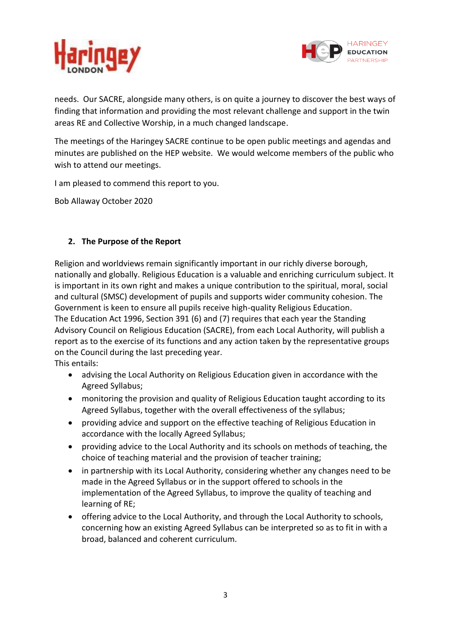



needs. Our SACRE, alongside many others, is on quite a journey to discover the best ways of finding that information and providing the most relevant challenge and support in the twin areas RE and Collective Worship, in a much changed landscape.

The meetings of the Haringey SACRE continue to be open public meetings and agendas and minutes are published on the HEP website. We would welcome members of the public who wish to attend our meetings.

I am pleased to commend this report to you.

Bob Allaway October 2020

# **2. The Purpose of the Report**

Religion and worldviews remain significantly important in our richly diverse borough, nationally and globally. Religious Education is a valuable and enriching curriculum subject. It is important in its own right and makes a unique contribution to the spiritual, moral, social and cultural (SMSC) development of pupils and supports wider community cohesion. The Government is keen to ensure all pupils receive high-quality Religious Education. The Education Act 1996, Section 391 (6) and (7) requires that each year the Standing Advisory Council on Religious Education (SACRE), from each Local Authority, will publish a report as to the exercise of its functions and any action taken by the representative groups on the Council during the last preceding year.

This entails:

- advising the Local Authority on Religious Education given in accordance with the Agreed Syllabus;
- monitoring the provision and quality of Religious Education taught according to its Agreed Syllabus, together with the overall effectiveness of the syllabus;
- providing advice and support on the effective teaching of Religious Education in accordance with the locally Agreed Syllabus;
- providing advice to the Local Authority and its schools on methods of teaching, the choice of teaching material and the provision of teacher training;
- in partnership with its Local Authority, considering whether any changes need to be made in the Agreed Syllabus or in the support offered to schools in the implementation of the Agreed Syllabus, to improve the quality of teaching and learning of RE;
- offering advice to the Local Authority, and through the Local Authority to schools, concerning how an existing Agreed Syllabus can be interpreted so as to fit in with a broad, balanced and coherent curriculum.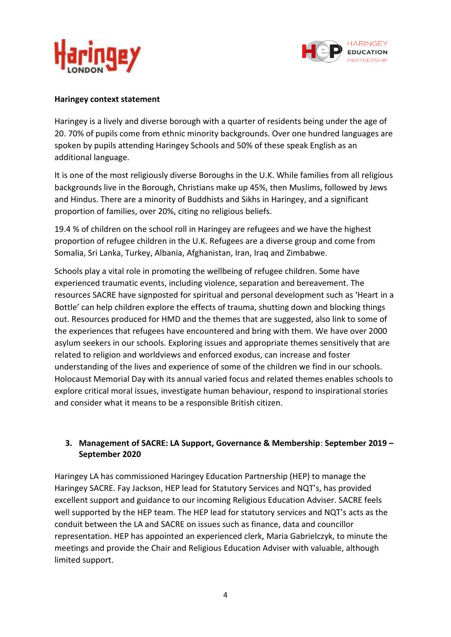



#### **Haringey context statement**

Haringey is a lively and diverse borough with a quarter of residents being under the age of 20. 70% of pupils come from ethnic minority backgrounds. Over one hundred languages are spoken by pupils attending Haringey Schools and 50% of these speak English as an additional language.

It is one of the most religiously diverse Boroughs in the U.K. While families from all religious backgrounds live in the Borough, Christians make up 45%, then Muslims, followed by Jews and Hindus. There are a minority of Buddhists and Sikhs in Haringey, and a significant proportion of families, over 20%, citing no religious beliefs.

19.4 % of children on the school roll in Haringey are refugees and we have the highest proportion of refugee children in the U.K. Refugees are a diverse group and come from Somalia, Sri Lanka, Turkey, Albania, Afghanistan, Iran, Iraq and Zimbabwe.

Schools play a vital role in promoting the wellbeing of refugee children. Some have experienced traumatic events, including violence, separation and bereavement. The resources SACRE have signposted for spiritual and personal development such as 'Heart in a Bottle' can help children explore the effects of trauma, shutting down and blocking things out. Resources produced for HMD and the themes that are suggested, also link to some of the experiences that refugees have encountered and bring with them. We have over 2000 asylum seekers in our schools. Exploring issues and appropriate themes sensitively that are related to religion and worldviews and enforced exodus, can increase and foster understanding of the lives and experience of some of the children we find in our schools. Holocaust Memorial Day with its annual varied focus and related themes enables schools to explore critical moral issues, investigate human behaviour, respond to inspirational stories and consider what it means to be a responsible British citizen.

# **3. Management of SACRE: LA Support, Governance & Membership**: **September 2019 – September 2020**

Haringey LA has commissioned Haringey Education Partnership (HEP) to manage the Haringey SACRE. Fay Jackson, HEP lead for Statutory Services and NQT's, has provided excellent support and guidance to our incoming Religious Education Adviser. SACRE feels well supported by the HEP team. The HEP lead for statutory services and NQT's acts as the conduit between the LA and SACRE on issues such as finance, data and councillor representation. HEP has appointed an experienced clerk, Maria Gabrielczyk, to minute the meetings and provide the Chair and Religious Education Adviser with valuable, although limited support.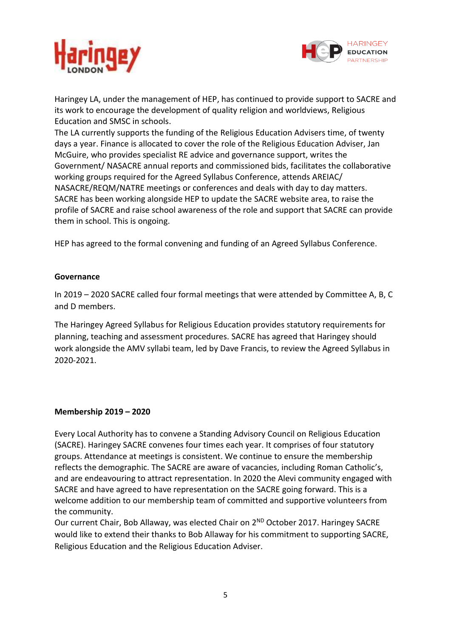



Haringey LA, under the management of HEP, has continued to provide support to SACRE and its work to encourage the development of quality religion and worldviews, Religious Education and SMSC in schools.

The LA currently supports the funding of the Religious Education Advisers time, of twenty days a year. Finance is allocated to cover the role of the Religious Education Adviser, Jan McGuire, who provides specialist RE advice and governance support, writes the Government/ NASACRE annual reports and commissioned bids, facilitates the collaborative working groups required for the Agreed Syllabus Conference, attends AREIAC/ NASACRE/REQM/NATRE meetings or conferences and deals with day to day matters. SACRE has been working alongside HEP to update the SACRE website area, to raise the profile of SACRE and raise school awareness of the role and support that SACRE can provide them in school. This is ongoing.

HEP has agreed to the formal convening and funding of an Agreed Syllabus Conference.

#### **Governance**

In 2019 – 2020 SACRE called four formal meetings that were attended by Committee A, B, C and D members.

The Haringey Agreed Syllabus for Religious Education provides statutory requirements for planning, teaching and assessment procedures. SACRE has agreed that Haringey should work alongside the AMV syllabi team, led by Dave Francis, to review the Agreed Syllabus in 2020-2021.

#### **Membership 2019 – 2020**

Every Local Authority has to convene a Standing Advisory Council on Religious Education (SACRE). Haringey SACRE convenes four times each year. It comprises of four statutory groups. Attendance at meetings is consistent. We continue to ensure the membership reflects the demographic. The SACRE are aware of vacancies, including Roman Catholic's, and are endeavouring to attract representation. In 2020 the Alevi community engaged with SACRE and have agreed to have representation on the SACRE going forward. This is a welcome addition to our membership team of committed and supportive volunteers from the community.

Our current Chair, Bob Allaway, was elected Chair on 2<sup>ND</sup> October 2017. Haringey SACRE would like to extend their thanks to Bob Allaway for his commitment to supporting SACRE, Religious Education and the Religious Education Adviser.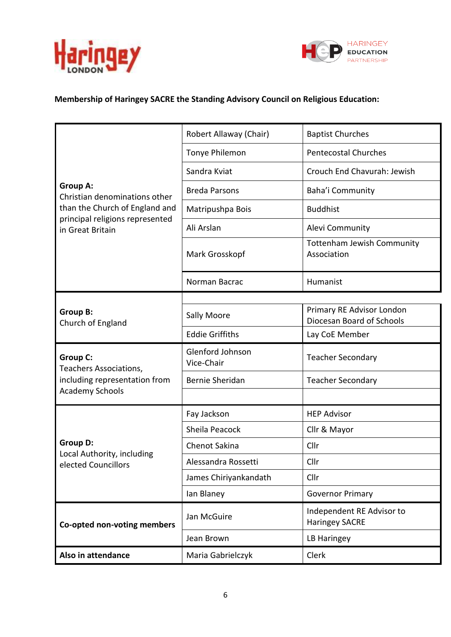



# **Membership of Haringey SACRE the Standing Advisory Council on Religious Education:**

|                                                     | Robert Allaway (Chair)         | <b>Baptist Churches</b>                                |  |  |
|-----------------------------------------------------|--------------------------------|--------------------------------------------------------|--|--|
|                                                     | Tonye Philemon                 | <b>Pentecostal Churches</b>                            |  |  |
|                                                     | Sandra Kviat                   | Crouch End Chavurah: Jewish                            |  |  |
| <b>Group A:</b><br>Christian denominations other    | <b>Breda Parsons</b>           | Baha'i Community                                       |  |  |
| than the Church of England and                      | Matripushpa Bois               | <b>Buddhist</b>                                        |  |  |
| principal religions represented<br>in Great Britain | Ali Arslan                     | Alevi Community                                        |  |  |
|                                                     | Mark Grosskopf                 | <b>Tottenham Jewish Community</b><br>Association       |  |  |
|                                                     | Norman Bacrac                  | Humanist                                               |  |  |
|                                                     |                                |                                                        |  |  |
| <b>Group B:</b><br>Church of England                | Sally Moore                    | Primary RE Advisor London<br>Diocesan Board of Schools |  |  |
|                                                     | <b>Eddie Griffiths</b>         | Lay CoE Member                                         |  |  |
| <b>Group C:</b><br>Teachers Associations,           | Glenford Johnson<br>Vice-Chair | <b>Teacher Secondary</b>                               |  |  |
| including representation from                       | Bernie Sheridan                | <b>Teacher Secondary</b>                               |  |  |
| <b>Academy Schools</b>                              |                                |                                                        |  |  |
|                                                     | Fay Jackson                    | <b>HEP Advisor</b>                                     |  |  |
|                                                     | Sheila Peacock                 | Cllr & Mayor                                           |  |  |
| <b>Group D:</b>                                     | Chenot Sakina                  | Cllr                                                   |  |  |
| Local Authority, including<br>elected Councillors   | Alessandra Rossetti            | Cllr                                                   |  |  |
|                                                     | James Chiriyankandath          | Cllr                                                   |  |  |
|                                                     | Ian Blaney                     | <b>Governor Primary</b>                                |  |  |
| Co-opted non-voting members                         | Jan McGuire                    | Independent RE Advisor to<br><b>Haringey SACRE</b>     |  |  |
|                                                     |                                |                                                        |  |  |
|                                                     | Jean Brown                     | LB Haringey                                            |  |  |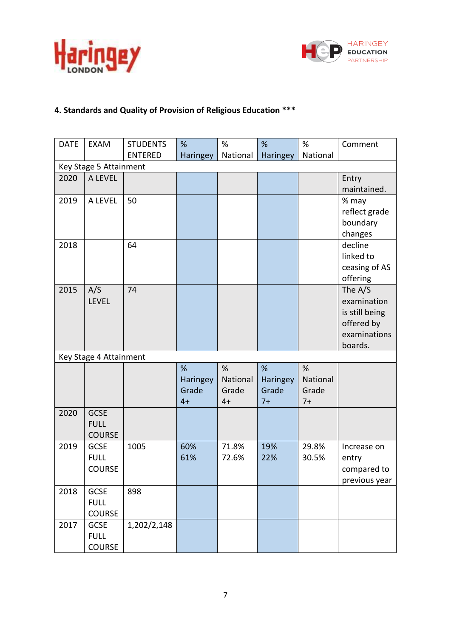



# **4. Standards and Quality of Provision of Religious Education \*\*\***

| <b>DATE</b> | <b>EXAM</b>            | <b>STUDENTS</b> | %               | %        | %        | %        | Comment        |
|-------------|------------------------|-----------------|-----------------|----------|----------|----------|----------------|
|             |                        | <b>ENTERED</b>  | <b>Haringey</b> | National | Haringey | National |                |
|             | Key Stage 5 Attainment |                 |                 |          |          |          |                |
| 2020        | A LEVEL                |                 |                 |          |          |          | Entry          |
|             |                        |                 |                 |          |          |          | maintained.    |
| 2019        | A LEVEL                | 50              |                 |          |          |          | % may          |
|             |                        |                 |                 |          |          |          | reflect grade  |
|             |                        |                 |                 |          |          |          | boundary       |
|             |                        |                 |                 |          |          |          | changes        |
| 2018        |                        | 64              |                 |          |          |          | decline        |
|             |                        |                 |                 |          |          |          | linked to      |
|             |                        |                 |                 |          |          |          | ceasing of AS  |
|             |                        |                 |                 |          |          |          | offering       |
| 2015        | A/S                    | 74              |                 |          |          |          | The A/S        |
|             | <b>LEVEL</b>           |                 |                 |          |          |          | examination    |
|             |                        |                 |                 |          |          |          | is still being |
|             |                        |                 |                 |          |          |          | offered by     |
|             |                        |                 |                 |          |          |          | examinations   |
|             |                        |                 |                 |          |          |          | boards.        |
|             | Key Stage 4 Attainment |                 |                 |          |          |          |                |
|             |                        |                 | %               | %        | %        | %        |                |
|             |                        |                 | Haringey        | National | Haringey | National |                |
|             |                        |                 | Grade           | Grade    | Grade    | Grade    |                |
|             |                        |                 | $4+$            | $4+$     | $7+$     | $7+$     |                |
| 2020        | <b>GCSE</b>            |                 |                 |          |          |          |                |
|             | <b>FULL</b>            |                 |                 |          |          |          |                |
|             | <b>COURSE</b>          |                 |                 |          |          |          |                |
| 2019        | <b>GCSE</b>            | 1005            | 60%             | 71.8%    | 19%      | 29.8%    | Increase on    |
|             | <b>FULL</b>            |                 | 61%             | 72.6%    | 22%      | 30.5%    | entry          |
|             | <b>COURSE</b>          |                 |                 |          |          |          | compared to    |
|             |                        |                 |                 |          |          |          | previous year  |
| 2018        | <b>GCSE</b>            | 898             |                 |          |          |          |                |
|             | <b>FULL</b>            |                 |                 |          |          |          |                |
|             | <b>COURSE</b>          |                 |                 |          |          |          |                |
| 2017        | <b>GCSE</b>            | 1,202/2,148     |                 |          |          |          |                |
|             | <b>FULL</b>            |                 |                 |          |          |          |                |
|             | <b>COURSE</b>          |                 |                 |          |          |          |                |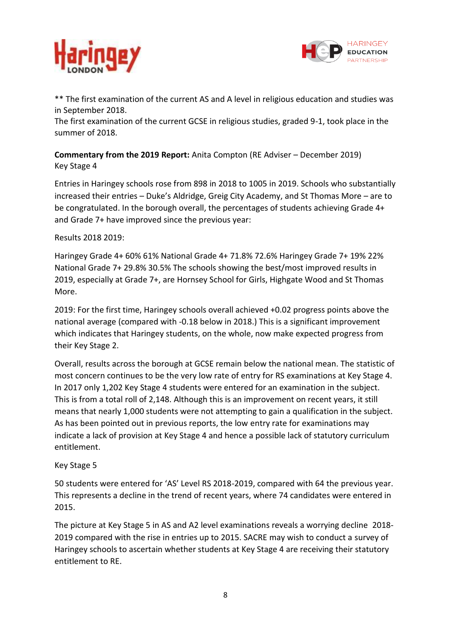



\*\* The first examination of the current AS and A level in religious education and studies was in September 2018.

The first examination of the current GCSE in religious studies, graded 9-1, took place in the summer of 2018.

**Commentary from the 2019 Report:** Anita Compton (RE Adviser – December 2019) Key Stage 4

Entries in Haringey schools rose from 898 in 2018 to 1005 in 2019. Schools who substantially increased their entries – Duke's Aldridge, Greig City Academy, and St Thomas More – are to be congratulated. In the borough overall, the percentages of students achieving Grade 4+ and Grade 7+ have improved since the previous year:

# Results 2018 2019:

Haringey Grade 4+ 60% 61% National Grade 4+ 71.8% 72.6% Haringey Grade 7+ 19% 22% National Grade 7+ 29.8% 30.5% The schools showing the best/most improved results in 2019, especially at Grade 7+, are Hornsey School for Girls, Highgate Wood and St Thomas More.

2019: For the first time, Haringey schools overall achieved +0.02 progress points above the national average (compared with -0.18 below in 2018.) This is a significant improvement which indicates that Haringey students, on the whole, now make expected progress from their Key Stage 2.

Overall, results across the borough at GCSE remain below the national mean. The statistic of most concern continues to be the very low rate of entry for RS examinations at Key Stage 4. In 2017 only 1,202 Key Stage 4 students were entered for an examination in the subject. This is from a total roll of 2,148. Although this is an improvement on recent years, it still means that nearly 1,000 students were not attempting to gain a qualification in the subject. As has been pointed out in previous reports, the low entry rate for examinations may indicate a lack of provision at Key Stage 4 and hence a possible lack of statutory curriculum entitlement.

#### Key Stage 5

50 students were entered for 'AS' Level RS 2018-2019, compared with 64 the previous year. This represents a decline in the trend of recent years, where 74 candidates were entered in 2015.

The picture at Key Stage 5 in AS and A2 level examinations reveals a worrying decline 2018- 2019 compared with the rise in entries up to 2015. SACRE may wish to conduct a survey of Haringey schools to ascertain whether students at Key Stage 4 are receiving their statutory entitlement to RE.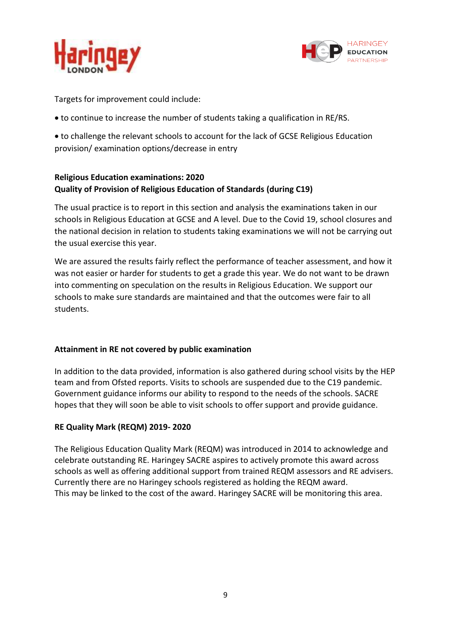



Targets for improvement could include:

to continue to increase the number of students taking a qualification in RE/RS.

 to challenge the relevant schools to account for the lack of GCSE Religious Education provision/ examination options/decrease in entry

# **Religious Education examinations: 2020 Quality of Provision of Religious Education of Standards (during C19)**

The usual practice is to report in this section and analysis the examinations taken in our schools in Religious Education at GCSE and A level. Due to the Covid 19, school closures and the national decision in relation to students taking examinations we will not be carrying out the usual exercise this year.

We are assured the results fairly reflect the performance of teacher assessment, and how it was not easier or harder for students to get a grade this year. We do not want to be drawn into commenting on speculation on the results in Religious Education. We support our schools to make sure standards are maintained and that the outcomes were fair to all students.

# **Attainment in RE not covered by public examination**

In addition to the data provided, information is also gathered during school visits by the HEP team and from Ofsted reports. Visits to schools are suspended due to the C19 pandemic. Government guidance informs our ability to respond to the needs of the schools. SACRE hopes that they will soon be able to visit schools to offer support and provide guidance.

# **RE Quality Mark (REQM) 2019- 2020**

The Religious Education Quality Mark (REQM) was introduced in 2014 to acknowledge and celebrate outstanding RE. Haringey SACRE aspires to actively promote this award across schools as well as offering additional support from trained REQM assessors and RE advisers. Currently there are no Haringey schools registered as holding the REQM award. This may be linked to the cost of the award. Haringey SACRE will be monitoring this area.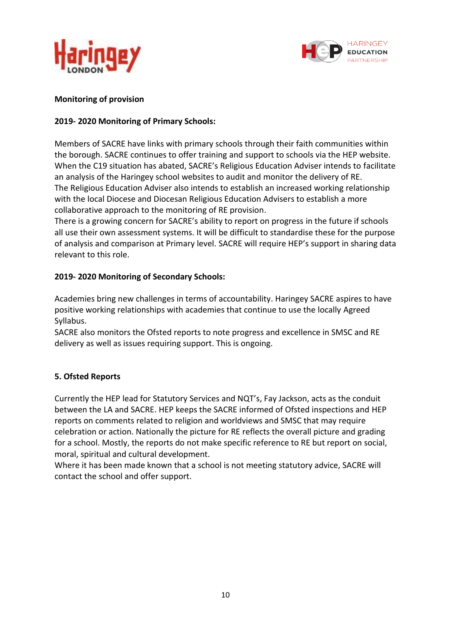



#### **Monitoring of provision**

### **2019- 2020 Monitoring of Primary Schools:**

Members of SACRE have links with primary schools through their faith communities within the borough. SACRE continues to offer training and support to schools via the HEP website. When the C19 situation has abated, SACRE's Religious Education Adviser intends to facilitate an analysis of the Haringey school websites to audit and monitor the delivery of RE. The Religious Education Adviser also intends to establish an increased working relationship with the local Diocese and Diocesan Religious Education Advisers to establish a more collaborative approach to the monitoring of RE provision.

There is a growing concern for SACRE's ability to report on progress in the future if schools all use their own assessment systems. It will be difficult to standardise these for the purpose of analysis and comparison at Primary level. SACRE will require HEP's support in sharing data relevant to this role.

#### **2019- 2020 Monitoring of Secondary Schools:**

Academies bring new challenges in terms of accountability. Haringey SACRE aspires to have positive working relationships with academies that continue to use the locally Agreed Syllabus.

SACRE also monitors the Ofsted reports to note progress and excellence in SMSC and RE delivery as well as issues requiring support. This is ongoing.

# **5. Ofsted Reports**

Currently the HEP lead for Statutory Services and NQT's, Fay Jackson, acts as the conduit between the LA and SACRE. HEP keeps the SACRE informed of Ofsted inspections and HEP reports on comments related to religion and worldviews and SMSC that may require celebration or action. Nationally the picture for RE reflects the overall picture and grading for a school. Mostly, the reports do not make specific reference to RE but report on social, moral, spiritual and cultural development.

Where it has been made known that a school is not meeting statutory advice, SACRE will contact the school and offer support.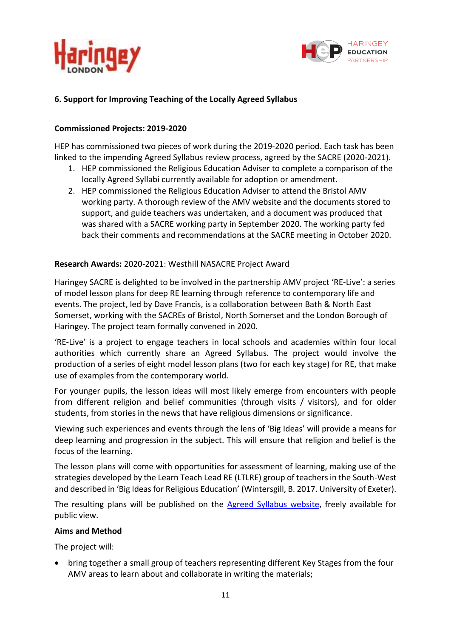



### **6. Support for Improving Teaching of the Locally Agreed Syllabus**

#### **Commissioned Projects: 2019-2020**

HEP has commissioned two pieces of work during the 2019-2020 period. Each task has been linked to the impending Agreed Syllabus review process, agreed by the SACRE (2020-2021).

- 1. HEP commissioned the Religious Education Adviser to complete a comparison of the locally Agreed Syllabi currently available for adoption or amendment.
- 2. HEP commissioned the Religious Education Adviser to attend the Bristol AMV working party. A thorough review of the AMV website and the documents stored to support, and guide teachers was undertaken, and a document was produced that was shared with a SACRE working party in September 2020. The working party fed back their comments and recommendations at the SACRE meeting in October 2020.

#### **Research Awards:** 2020-2021: Westhill NASACRE Project Award

Haringey SACRE is delighted to be involved in the partnership AMV project 'RE-Live': a series of model lesson plans for deep RE learning through reference to contemporary life and events. The project, led by Dave Francis, is a collaboration between Bath & North East Somerset, working with the SACREs of Bristol, North Somerset and the London Borough of Haringey. The project team formally convened in 2020.

'RE-Live' is a project to engage teachers in local schools and academies within four local authorities which currently share an Agreed Syllabus. The project would involve the production of a series of eight model lesson plans (two for each key stage) for RE, that make use of examples from the contemporary world.

For younger pupils, the lesson ideas will most likely emerge from encounters with people from different religion and belief communities (through visits / visitors), and for older students, from stories in the news that have religious dimensions or significance.

Viewing such experiences and events through the lens of 'Big Ideas' will provide a means for deep learning and progression in the subject. This will ensure that religion and belief is the focus of the learning.

The lesson plans will come with opportunities for assessment of learning, making use of the strategies developed by the Learn Teach Lead RE (LTLRE) group of teachers in the South-West and described in 'Big Ideas for Religious Education' (Wintersgill, B. 2017. University of Exeter).

The resulting plans will be published on the **Agreed Syllabus website**, freely available for public view.

#### **Aims and Method**

The project will:

 bring together a small group of teachers representing different Key Stages from the four AMV areas to learn about and collaborate in writing the materials;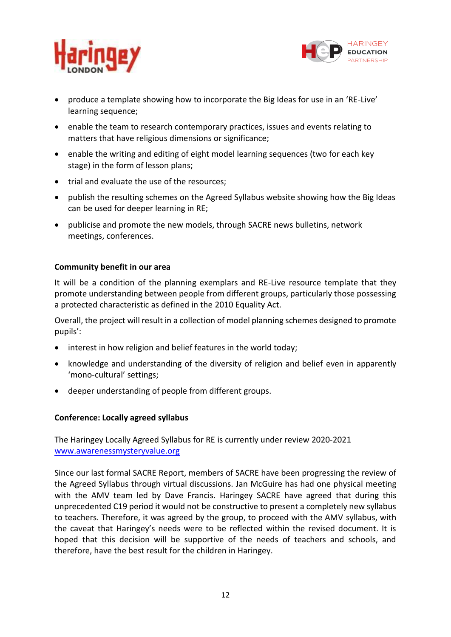



- produce a template showing how to incorporate the Big Ideas for use in an 'RE-Live' learning sequence;
- enable the team to research contemporary practices, issues and events relating to matters that have religious dimensions or significance;
- enable the writing and editing of eight model learning sequences (two for each key stage) in the form of lesson plans;
- trial and evaluate the use of the resources;
- publish the resulting schemes on the Agreed Syllabus website showing how the Big Ideas can be used for deeper learning in RE;
- publicise and promote the new models, through SACRE news bulletins, network meetings, conferences.

#### **Community benefit in our area**

It will be a condition of the planning exemplars and RE-Live resource template that they promote understanding between people from different groups, particularly those possessing a protected characteristic as defined in the 2010 Equality Act.

Overall, the project will result in a collection of model planning schemes designed to promote pupils':

- interest in how religion and belief features in the world today;
- knowledge and understanding of the diversity of religion and belief even in apparently 'mono-cultural' settings;
- deeper understanding of people from different groups.

#### **Conference: Locally agreed syllabus**

The Haringey Locally Agreed Syllabus for RE is currently under review 2020-2021 [www.awarenessmysteryvalue.org](http://www.awarenessmysteryvalue.org/)

Since our last formal SACRE Report, members of SACRE have been progressing the review of the Agreed Syllabus through virtual discussions. Jan McGuire has had one physical meeting with the AMV team led by Dave Francis. Haringey SACRE have agreed that during this unprecedented C19 period it would not be constructive to present a completely new syllabus to teachers. Therefore, it was agreed by the group, to proceed with the AMV syllabus, with the caveat that Haringey's needs were to be reflected within the revised document. It is hoped that this decision will be supportive of the needs of teachers and schools, and therefore, have the best result for the children in Haringey.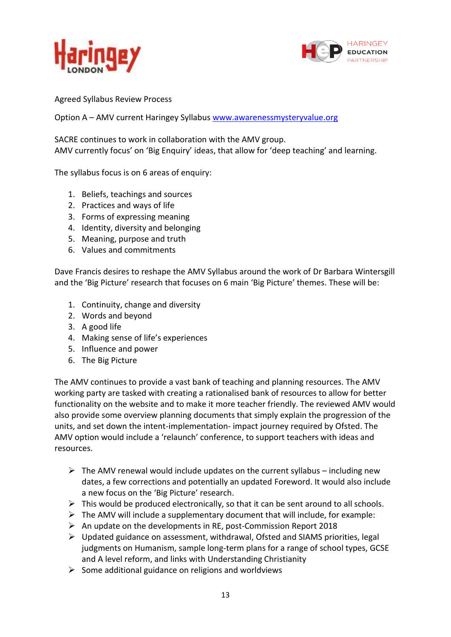



Agreed Syllabus Review Process

Option A – AMV current Haringey Syllabus [www.awarenessmysteryvalue.org](http://www.awarenessmysteryvalue.org/)

SACRE continues to work in collaboration with the AMV group. AMV currently focus' on 'Big Enquiry' ideas, that allow for 'deep teaching' and learning.

The syllabus focus is on 6 areas of enquiry:

- 1. Beliefs, teachings and sources
- 2. Practices and ways of life
- 3. Forms of expressing meaning
- 4. Identity, diversity and belonging
- 5. Meaning, purpose and truth
- 6. Values and commitments

Dave Francis desires to reshape the AMV Syllabus around the work of Dr Barbara Wintersgill and the 'Big Picture' research that focuses on 6 main 'Big Picture' themes. These will be:

- 1. Continuity, change and diversity
- 2. Words and beyond
- 3. A good life
- 4. Making sense of life's experiences
- 5. Influence and power
- 6. The Big Picture

The AMV continues to provide a vast bank of teaching and planning resources. The AMV working party are tasked with creating a rationalised bank of resources to allow for better functionality on the website and to make it more teacher friendly. The reviewed AMV would also provide some overview planning documents that simply explain the progression of the units, and set down the intent-implementation- impact journey required by Ofsted. The AMV option would include a 'relaunch' conference, to support teachers with ideas and resources.

- $\triangleright$  The AMV renewal would include updates on the current syllabus including new dates, a few corrections and potentially an updated Foreword. It would also include a new focus on the 'Big Picture' research.
- $\triangleright$  This would be produced electronically, so that it can be sent around to all schools.
- $\triangleright$  The AMV will include a supplementary document that will include, for example:
- $\triangleright$  An update on the developments in RE, post-Commission Report 2018
- $\triangleright$  Updated guidance on assessment, withdrawal, Ofsted and SIAMS priorities, legal judgments on Humanism, sample long-term plans for a range of school types, GCSE and A level reform, and links with Understanding Christianity
- $\triangleright$  Some additional guidance on religions and worldviews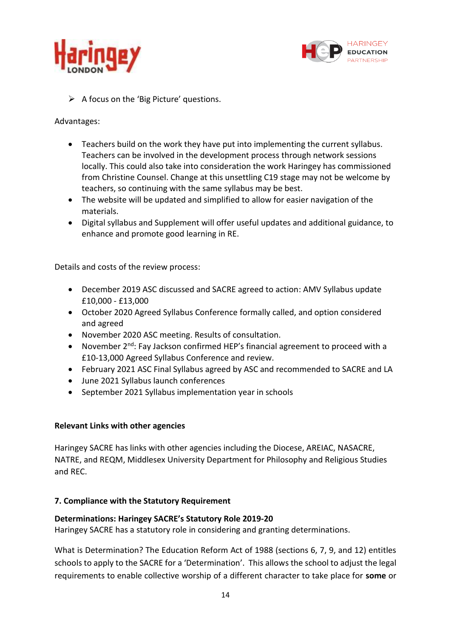



 $\triangleright$  A focus on the 'Big Picture' questions.

Advantages:

- Teachers build on the work they have put into implementing the current syllabus. Teachers can be involved in the development process through network sessions locally. This could also take into consideration the work Haringey has commissioned from Christine Counsel. Change at this unsettling C19 stage may not be welcome by teachers, so continuing with the same syllabus may be best.
- The website will be updated and simplified to allow for easier navigation of the materials.
- Digital syllabus and Supplement will offer useful updates and additional guidance, to enhance and promote good learning in RE.

Details and costs of the review process:

- December 2019 ASC discussed and SACRE agreed to action: AMV Syllabus update £10,000 - £13,000
- October 2020 Agreed Syllabus Conference formally called, and option considered and agreed
- November 2020 ASC meeting. Results of consultation.
- November  $2^{nd}$ : Fay Jackson confirmed HEP's financial agreement to proceed with a £10-13,000 Agreed Syllabus Conference and review.
- February 2021 ASC Final Syllabus agreed by ASC and recommended to SACRE and LA
- June 2021 Syllabus launch conferences
- September 2021 Syllabus implementation year in schools

#### **Relevant Links with other agencies**

Haringey SACRE has links with other agencies including the Diocese, AREIAC, NASACRE, NATRE, and REQM, Middlesex University Department for Philosophy and Religious Studies and REC.

#### **7. Compliance with the Statutory Requirement**

#### **Determinations: Haringey SACRE's Statutory Role 2019-20**

Haringey SACRE has a statutory role in considering and granting determinations.

What is Determination? The Education Reform Act of 1988 (sections 6, 7, 9, and 12) entitles schools to apply to the SACRE for a 'Determination'. This allows the school to adjust the legal requirements to enable collective worship of a different character to take place for **some** or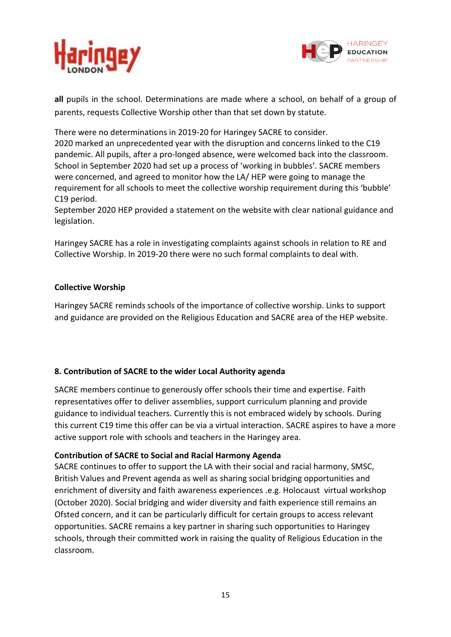



**all** pupils in the school. Determinations are made where a school, on behalf of a group of parents, requests Collective Worship other than that set down by statute.

There were no determinations in 2019-20 for Haringey SACRE to consider.

2020 marked an unprecedented year with the disruption and concerns linked to the C19 pandemic. All pupils, after a pro-longed absence, were welcomed back into the classroom. School in September 2020 had set up a process of 'working in bubbles'. SACRE members were concerned, and agreed to monitor how the LA/ HEP were going to manage the requirement for all schools to meet the collective worship requirement during this 'bubble' C19 period.

September 2020 HEP provided a statement on the website with clear national guidance and legislation.

Haringey SACRE has a role in investigating complaints against schools in relation to RE and Collective Worship. In 2019-20 there were no such formal complaints to deal with.

#### **Collective Worship**

Haringey SACRE reminds schools of the importance of collective worship. Links to support and guidance are provided on the Religious Education and SACRE area of the HEP website.

# **8. Contribution of SACRE to the wider Local Authority agenda**

SACRE members continue to generously offer schools their time and expertise. Faith representatives offer to deliver assemblies, support curriculum planning and provide guidance to individual teachers. Currently this is not embraced widely by schools. During this current C19 time this offer can be via a virtual interaction. SACRE aspires to have a more active support role with schools and teachers in the Haringey area.

#### **Contribution of SACRE to Social and Racial Harmony Agenda**

SACRE continues to offer to support the LA with their social and racial harmony, SMSC, British Values and Prevent agenda as well as sharing social bridging opportunities and enrichment of diversity and faith awareness experiences .e.g. Holocaust virtual workshop (October 2020). Social bridging and wider diversity and faith experience still remains an Ofsted concern, and it can be particularly difficult for certain groups to access relevant opportunities. SACRE remains a key partner in sharing such opportunities to Haringey schools, through their committed work in raising the quality of Religious Education in the classroom.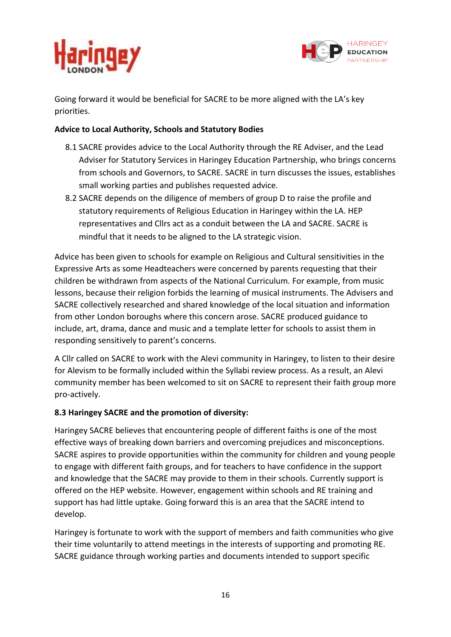



Going forward it would be beneficial for SACRE to be more aligned with the LA's key priorities.

### **Advice to Local Authority, Schools and Statutory Bodies**

- 8.1 SACRE provides advice to the Local Authority through the RE Adviser, and the Lead Adviser for Statutory Services in Haringey Education Partnership, who brings concerns from schools and Governors, to SACRE. SACRE in turn discusses the issues, establishes small working parties and publishes requested advice.
- 8.2 SACRE depends on the diligence of members of group D to raise the profile and statutory requirements of Religious Education in Haringey within the LA. HEP representatives and Cllrs act as a conduit between the LA and SACRE. SACRE is mindful that it needs to be aligned to the LA strategic vision.

Advice has been given to schools for example on Religious and Cultural sensitivities in the Expressive Arts as some Headteachers were concerned by parents requesting that their children be withdrawn from aspects of the National Curriculum. For example, from music lessons, because their religion forbids the learning of musical instruments. The Advisers and SACRE collectively researched and shared knowledge of the local situation and information from other London boroughs where this concern arose. SACRE produced guidance to include, art, drama, dance and music and a template letter for schools to assist them in responding sensitively to parent's concerns.

A Cllr called on SACRE to work with the Alevi community in Haringey, to listen to their desire for Alevism to be formally included within the Syllabi review process. As a result, an Alevi community member has been welcomed to sit on SACRE to represent their faith group more pro-actively.

# **8.3 Haringey SACRE and the promotion of diversity:**

Haringey SACRE believes that encountering people of different faiths is one of the most effective ways of breaking down barriers and overcoming prejudices and misconceptions. SACRE aspires to provide opportunities within the community for children and young people to engage with different faith groups, and for teachers to have confidence in the support and knowledge that the SACRE may provide to them in their schools. Currently support is offered on the HEP website. However, engagement within schools and RE training and support has had little uptake. Going forward this is an area that the SACRE intend to develop.

Haringey is fortunate to work with the support of members and faith communities who give their time voluntarily to attend meetings in the interests of supporting and promoting RE. SACRE guidance through working parties and documents intended to support specific